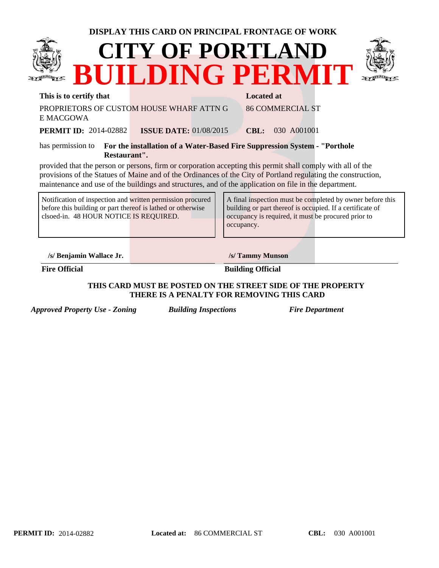| DISPLAY THIS CARD ON PRINCIPAL FRONTAGE OF WORK                                                                                                                     |                                          |                                                                                                                                                                                                                                                                                                                                        |  |  |  |
|---------------------------------------------------------------------------------------------------------------------------------------------------------------------|------------------------------------------|----------------------------------------------------------------------------------------------------------------------------------------------------------------------------------------------------------------------------------------------------------------------------------------------------------------------------------------|--|--|--|
|                                                                                                                                                                     | <b>CITY OF PORTLAND</b>                  | BUILDING PERMIT                                                                                                                                                                                                                                                                                                                        |  |  |  |
| This is to certify that                                                                                                                                             |                                          | <b>Located at</b>                                                                                                                                                                                                                                                                                                                      |  |  |  |
| E MACGOWA                                                                                                                                                           | PROPRIETORS OF CUSTOM HOUSE WHARF ATTN G | <b>86 COMMERCIAL ST</b>                                                                                                                                                                                                                                                                                                                |  |  |  |
| <b>PERMIT ID: 2014-02882</b>                                                                                                                                        | <b>ISSUE DATE: 01/08/2015</b>            | <b>CBL:</b> 030 A001001                                                                                                                                                                                                                                                                                                                |  |  |  |
| For the installation of a Water-Based Fire Suppression System - "Porthole"<br>has permission to<br>Restaurant".                                                     |                                          |                                                                                                                                                                                                                                                                                                                                        |  |  |  |
|                                                                                                                                                                     |                                          | provided that the person or persons, firm or corporation accepting this permit shall comply with all of the<br>provisions of the Statues of Maine and of the Ordinances of the City of Portland regulating the construction,<br>maintenance and use of the buildings and structures, and of the application on file in the department. |  |  |  |
| Notification of inspection and written permission procured<br>before this building or part thereof is lathed or otherwise<br>clsoed-in. 48 HOUR NOTICE IS REQUIRED. |                                          | A final inspection must be completed by owner before this<br>building or part thereof is occupied. If a certificate of<br>occupancy is required, it must be procured prior to<br>occupancy.                                                                                                                                            |  |  |  |
| /s/ Benjamin Wallace Jr.                                                                                                                                            |                                          | /s/ Tammy Munson                                                                                                                                                                                                                                                                                                                       |  |  |  |
| <b>Fire Official</b>                                                                                                                                                |                                          | <b>Building Official</b>                                                                                                                                                                                                                                                                                                               |  |  |  |

**THIS CARD MUST BE POSTED ON THE STREET SIDE OF THE PROPERTY THERE IS A PENALTY FOR REMOVING THIS CARD**

*Approved Property Use - Zoning Building Inspections Fire Department*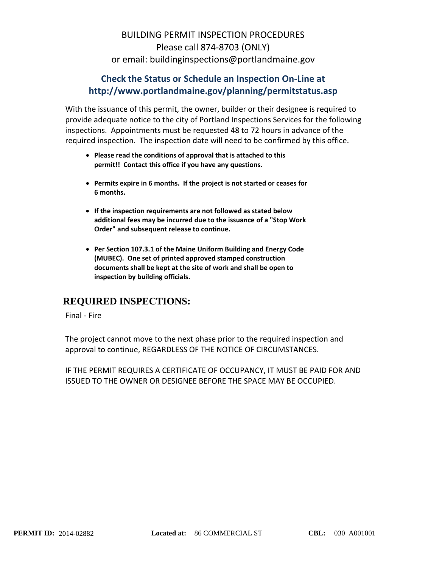## BUILDING PERMIT INSPECTION PROCEDURES Please call 874‐8703 (ONLY) or email: buildinginspections@portlandmaine.gov

## **Check the Status or Schedule an Inspection On‐Line at http://www.portlandmaine.gov/planning/permitstatus.asp**

With the issuance of this permit, the owner, builder or their designee is required to provide adequate notice to the city of Portland Inspections Services for the following inspections. Appointments must be requested 48 to 72 hours in advance of the required inspection. The inspection date will need to be confirmed by this office.

- **Please read the conditions of approval that is attached to this permit!! Contact this office if you have any questions.**
- **Permits expire in 6 months. If the project is not started or ceases for 6 months.**
- **If the inspection requirements are not followed as stated below additional fees may be incurred due to the issuance of a "Stop Work Order" and subsequent release to continue.**
- **Per Section 107.3.1 of the Maine Uniform Building and Energy Code (MUBEC). One set of printed approved stamped construction documents shall be kept at the site of work and shall be open to inspection by building officials.**

## **REQUIRED INSPECTIONS:**

Final ‐ Fire

The project cannot move to the next phase prior to the required inspection and approval to continue, REGARDLESS OF THE NOTICE OF CIRCUMSTANCES.

IF THE PERMIT REQUIRES A CERTIFICATE OF OCCUPANCY, IT MUST BE PAID FOR AND ISSUED TO THE OWNER OR DESIGNEE BEFORE THE SPACE MAY BE OCCUPIED.